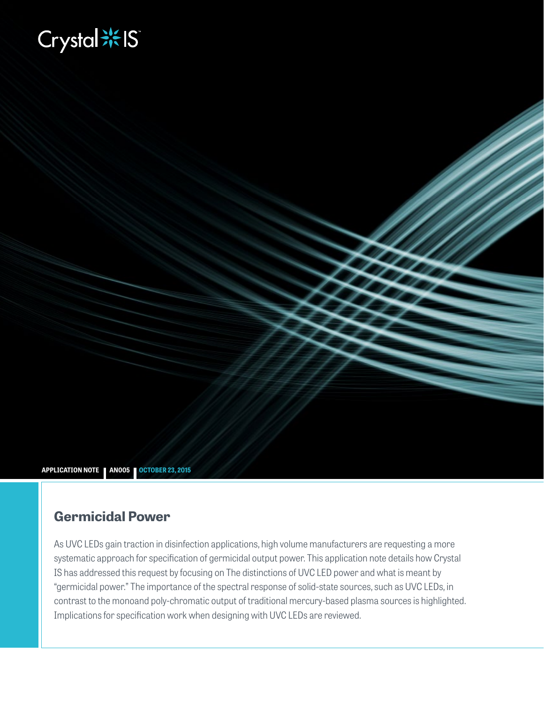# **Biography**



### **Germicidal Power**

As UVC LEDs gain traction in disinfection applications, high volume manufacturers are requesting a more systematic approach for specification of germicidal output power. This application note details how Crystal IS has addressed this request by focusing on The distinctions of UVC LED power and what is meant by "germicidal power." The importance of the spectral response of solid-state sources, such as UVC LEDs, in contrast to the monoand poly-chromatic output of traditional mercury-based plasma sources is highlighted. Implications for specification work when designing with UVC LEDs are reviewed.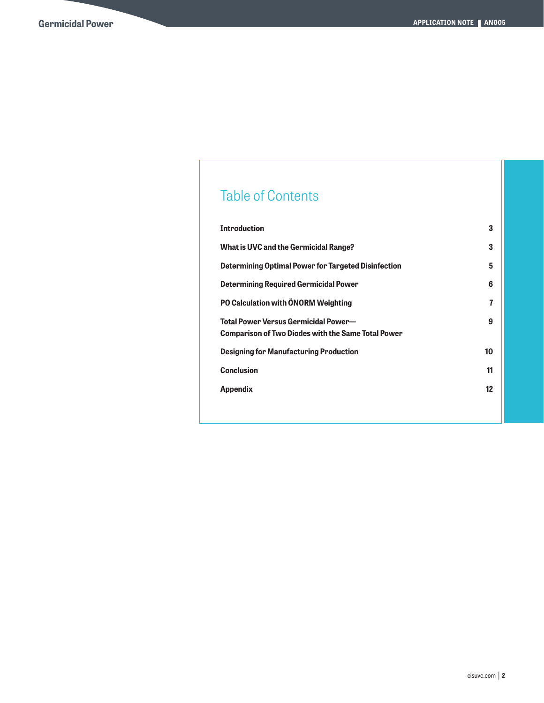## Table of Contents

| <b>Introduction</b>                                                                               | 3  |
|---------------------------------------------------------------------------------------------------|----|
| What is UVC and the Germicidal Range?                                                             | 3  |
| <b>Determining Optimal Power for Targeted Disinfection</b>                                        | 5  |
| <b>Determining Required Germicidal Power</b>                                                      | 6  |
| PO Calculation with ÖNORM Weighting                                                               | 7  |
| Total Power Versus Germicidal Power—<br><b>Comparison of Two Diodes with the Same Total Power</b> | 9  |
| <b>Designing for Manufacturing Production</b>                                                     | 10 |
| <b>Conclusion</b>                                                                                 | 11 |
| <b>Appendix</b>                                                                                   | 12 |
|                                                                                                   |    |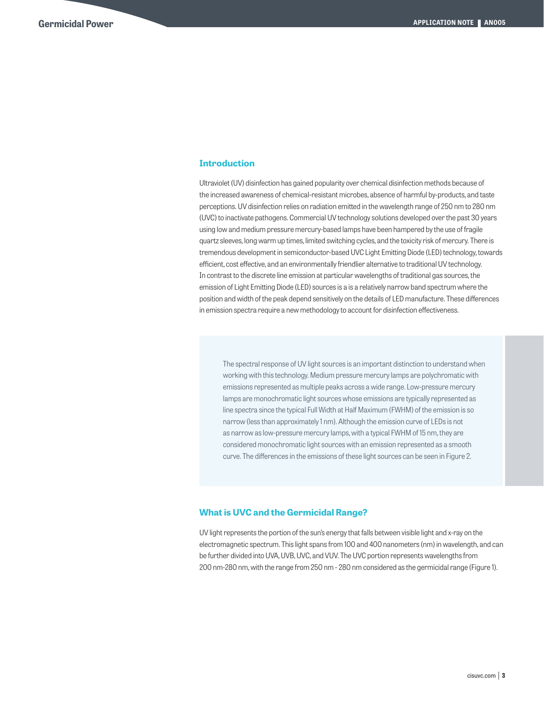#### **Introduction**

Ultraviolet (UV) disinfection has gained popularity over chemical disinfection methods because of the increased awareness of chemical-resistant microbes, absence of harmful by-products, and taste perceptions. UV disinfection relies on radiation emitted in the wavelength range of 250 nm to 280 nm (UVC) to inactivate pathogens. Commercial UV technology solutions developed over the past 30 years using low and medium pressure mercury-based lamps have been hampered by the use of fragile quartz sleeves, long warm up times, limited switching cycles, and the toxicity risk of mercury. There is tremendous development in semiconductor-based UVC Light Emitting Diode (LED) technology, towards efficient, cost effective, and an environmentally friendlier alternative to traditional UV technology. In contrast to the discrete line emission at particular wavelengths of traditional gas sources, the emission of Light Emitting Diode (LED) sources is a is a relatively narrow band spectrum where the position and width of the peak depend sensitively on the details of LED manufacture. These differences in emission spectra require a new methodology to account for disinfection effectiveness.

The spectral response of UV light sources is an important distinction to understand when working with this technology. Medium pressure mercury lamps are polychromatic with emissions represented as multiple peaks across a wide range. Low-pressure mercury lamps are monochromatic light sources whose emissions are typically represented as line spectra since the typical Full Width at Half Maximum (FWHM) of the emission is so narrow (less than approximately 1 nm). Although the emission curve of LEDs is not as narrow as low-pressure mercury lamps, with a typical FWHM of 15 nm, they are considered monochromatic light sources with an emission represented as a smooth curve. The differences in the emissions of these light sources can be seen in Figure 2.

#### **What is UVC and the Germicidal Range?**

UV light represents the portion of the sun's energy that falls between visible light and x-ray on the electromagnetic spectrum. This light spans from 100 and 400 nanometers (nm) in wavelength, and can be further divided into UVA, UVB, UVC, and VUV. The UVC portion represents wavelengths from 200 nm-280 nm, with the range from 250 nm - 280 nm considered as the germicidal range (Figure 1).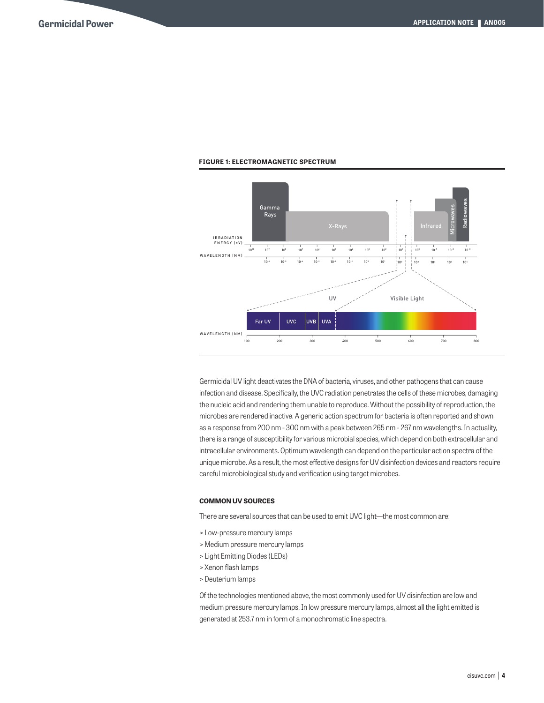

#### **FIGURE 1: ELECTROMAGNETIC SPECTRUM**

Germicidal UV light deactivates the DNA of bacteria, viruses, and other pathogens that can cause infection and disease. Specifically, the UVC radiation penetrates the cells of these microbes, damaging the nucleic acid and rendering them unable to reproduce. Without the possibility of reproduction, the microbes are rendered inactive. A generic action spectrum for bacteria is often reported and shown as a response from 200 nm - 300 nm with a peak between 265 nm - 267 nm wavelengths. In actuality, there is a range of susceptibility for various microbial species, which depend on both extracellular and intracellular environments. Optimum wavelength can depend on the particular action spectra of the unique microbe. As a result, the most effective designs for UV disinfection devices and reactors require careful microbiological study and verification using target microbes.

#### **COMMON UV SOURCES**

There are several sources that can be used to emit UVC light—the most common are:

- > Low-pressure mercury lamps
- > Medium pressure mercury lamps
- > Light Emitting Diodes (LEDs)
- > Xenon flash lamps
- > Deuterium lamps

Of the technologies mentioned above, the most commonly used for UV disinfection are low and medium pressure mercury lamps. In low pressure mercury lamps, almost all the light emitted is generated at 253.7 nm in form of a monochromatic line spectra.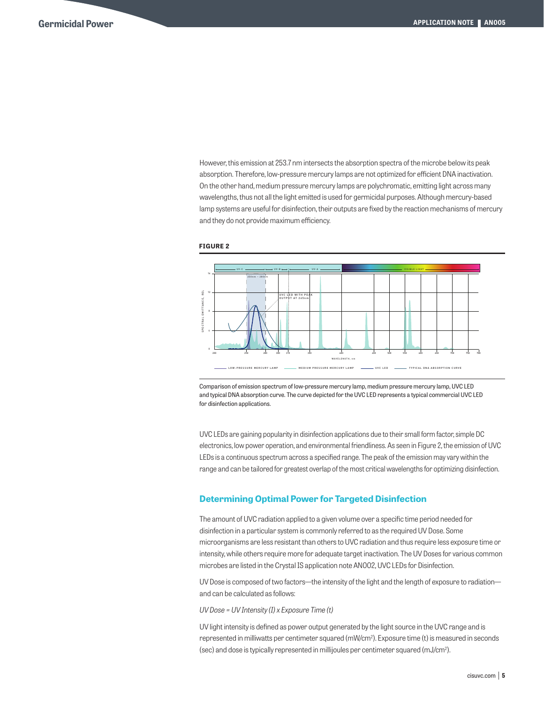However, this emission at 253.7 nm intersects the absorption spectra of the microbe below its peak absorption. Therefore, low-pressure mercury lamps are not optimized for efficient DNA inactivation. On the other hand, medium pressure mercury lamps are polychromatic, emitting light across many wavelengths, thus not all the light emitted is used for germicidal purposes. Although mercury-based lamp systems are useful for disinfection, their outputs are fixed by the reaction mechanisms of mercury and they do not provide maximum efficiency.





Comparison of emission spectrum of low-pressure mercury lamp, medium pressure mercury lamp, UVC LED and typical DNA absorption curve. The curve depicted for the UVC LED represents a typical commercial UVC LED for disinfection applications.

UVC LEDs are gaining popularity in disinfection applications due to their small form factor, simple DC electronics, low power operation, and environmental friendliness. As seen in Figure 2, the emission of UVC LEDs is a continuous spectrum across a specified range. The peak of the emission may vary within the range and can be tailored for greatest overlap of the most critical wavelengths for optimizing disinfection.

#### **Determining Optimal Power for Targeted Disinfection**

The amount of UVC radiation applied to a given volume over a specific time period needed for disinfection in a particular system is commonly referred to as the required UV Dose. Some microorganisms are less resistant than others to UVC radiation and thus require less exposure time or intensity, while others require more for adequate target inactivation. The UV Doses for various common microbes are listed in the Crystal IS application note AN002, UVC LEDs for Disinfection.

UV Dose is composed of two factors—the intensity of the light and the length of exposure to radiation and can be calculated as follows:

*UV Dose = UV Intensity (I) x Exposure Time (t)*

UV light intensity is defined as power output generated by the light source in the UVC range and is represented in milliwatts per centimeter squared (mW/cm²). Exposure time (t) is measured in seconds (sec) and dose is typically represented in millijoules per centimeter squared (mJ/cm2 ).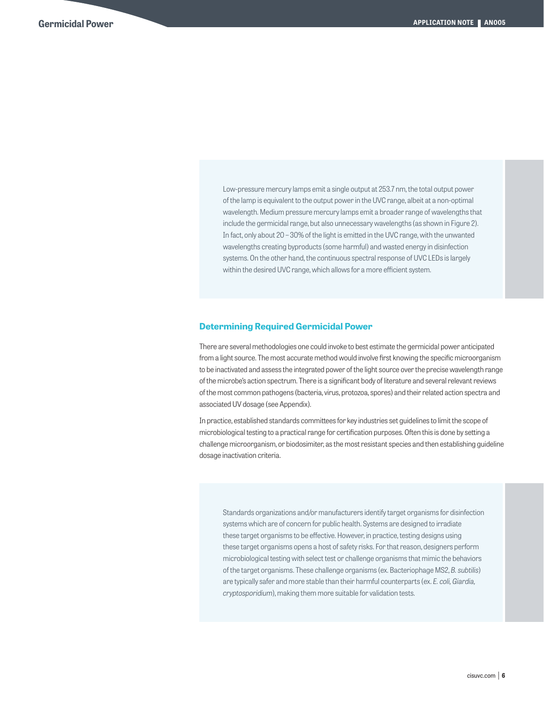Low-pressure mercury lamps emit a single output at 253.7 nm, the total output power of the lamp is equivalent to the output power in the UVC range, albeit at a non-optimal wavelength. Medium pressure mercury lamps emit a broader range of wavelengths that include the germicidal range, but also unnecessary wavelengths (as shown in Figure 2). In fact, only about 20 – 30% of the light is emitted in the UVC range, with the unwanted wavelengths creating byproducts (some harmful) and wasted energy in disinfection systems. On the other hand, the continuous spectral response of UVC LEDs is largely within the desired UVC range, which allows for a more efficient system.

#### **Determining Required Germicidal Power**

There are several methodologies one could invoke to best estimate the germicidal power anticipated from a light source. The most accurate method would involve first knowing the specific microorganism to be inactivated and assess the integrated power of the light source over the precise wavelength range of the microbe's action spectrum. There is a significant body of literature and several relevant reviews of the most common pathogens (bacteria, virus, protozoa, spores) and their related action spectra and associated UV dosage (see Appendix).

In practice, established standards committees for key industries set guidelines to limit the scope of microbiological testing to a practical range for certification purposes. Often this is done by setting a challenge microorganism, or biodosimiter, as the most resistant species and then establishing guideline dosage inactivation criteria.

Standards organizations and/or manufacturers identify target organisms for disinfection systems which are of concern for public health. Systems are designed to irradiate these target organisms to be effective. However, in practice, testing designs using these target organisms opens a host of safety risks. For that reason, designers perform microbiological testing with select test or challenge organisms that mimic the behaviors of the target organisms. These challenge organisms (ex. Bacteriophage MS2, *B. subtilis*) are typically safer and more stable than their harmful counterparts (ex. *E. coli, Giardia, cryptosporidium*), making them more suitable for validation tests.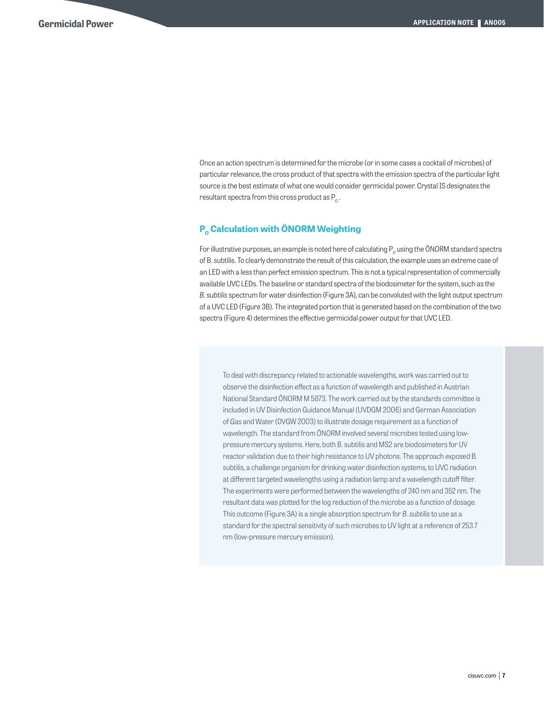Once an action spectrum is determined for the microbe (or in some cases a cocktail of microbes) of particular relevance, the cross product of that spectra with the emission spectra of the particular light source is the best estimate of what one would consider germicidal power. Crystal IS designates the resultant spectra from this cross product as  $P_0$ .

#### **P<sub>o</sub> Calculation with ÖNORM Weighting**

For illustrative purposes, an example is noted here of calculating  $P_0$  using the ÖNORM standard spectra of B. subtilis. To clearly demonstrate the result of this calculation, the example uses an extreme case of an LED with a less than perfect emission spectrum. This is not a typical representation of commercially available UVC LEDs. The baseline or standard spectra of the biodosimeter for the system, such as the *B. subtilis* spectrum for water disinfection (Figure 3A), can be convoluted with the light output spectrum of a UVC LED (Figure 3B). The integrated portion that is generated based on the combination of the two spectra (Figure 4) determines the effective germicidal power output for that UVC LED.

To deal with discrepancy related to actionable wavelengths, work was carried out to observe the disinfection effect as a function of wavelength and published in Austrian National Standard ÖNORM M 5873. The work carried out by the standards committee is included in UV Disinfection Guidance Manual (UVDGM 2006) and German Association of Gas and Water (DVGW 2003) to illustrate dosage requirement as a function of wavelength. The standard from ÖNORM involved several microbes tested using lowpressure mercury systems. Here, both B. subtilis and MS2 are biodosimeters for UV reactor validation due to their high resistance to UV photons. The approach exposed B. subtilis, a challenge organism for drinking water disinfection systems, to UVC radiation at different targeted wavelengths using a radiation lamp and a wavelength cutoff filter. The experiments were performed between the wavelengths of 240 nm and 352 nm. The resultant data was plotted for the log reduction of the microbe as a function of dosage. This outcome (Figure 3A) is a single absorption spectrum for *B. subtilis* to use as a standard for the spectral sensitivity of such microbes to UV light at a reference of 253.7 nm (low-pressure mercury emission).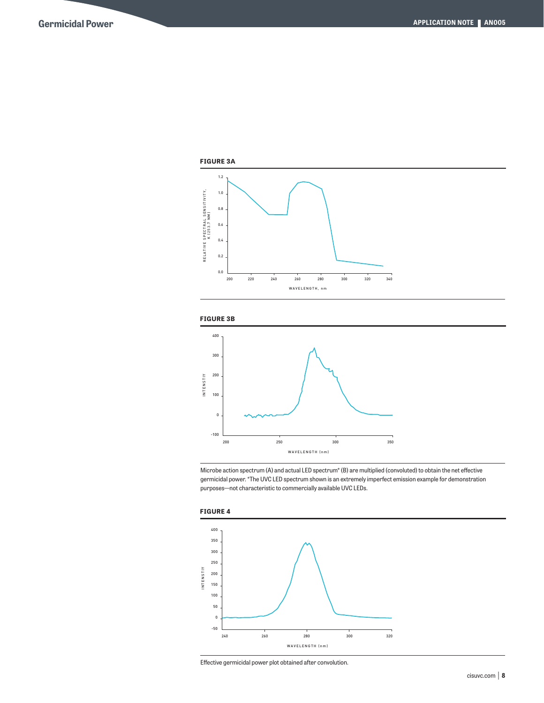





Microbe action spectrum (A) and actual LED spectrum\* (B) are multiplied (convoluted) to obtain the net effective germicidal power. \*The UVC LED spectrum shown is an extremely imperfect emission example for demonstration purposes—not characteristic to commercially available UVC LEDs.





Effective germicidal power plot obtained after convolution.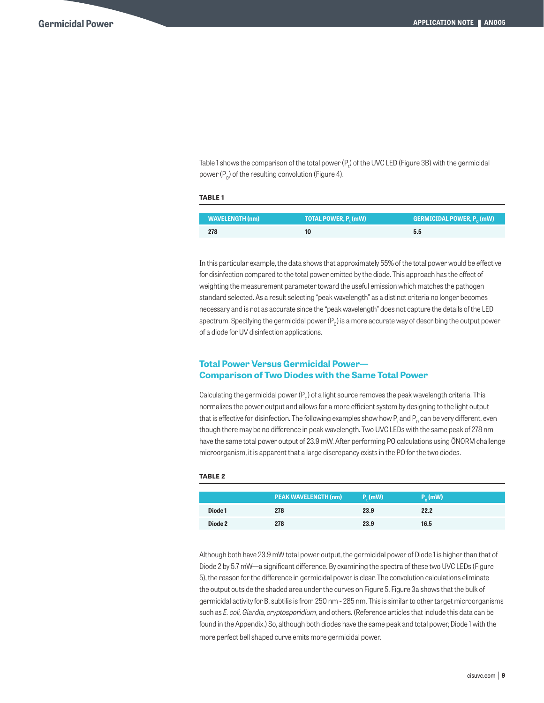Table 1 shows the comparison of the total power (P<sub>t</sub>) of the UVC LED (Figure 3B) with the germicidal power  $(P_0)$  of the resulting convolution (Figure 4).

#### **TABLE 1**

| WAVELENGTH (nm) | TOTAL POWER, P. (mW) | <b>GERMICIDAL POWER, <math>P_0(mW)</math></b> |
|-----------------|----------------------|-----------------------------------------------|
| 278             |                      | 5.5                                           |

In this particular example, the data shows that approximately 55% of the total power would be effective for disinfection compared to the total power emitted by the diode. This approach has the effect of weighting the measurement parameter toward the useful emission which matches the pathogen standard selected. As a result selecting "peak wavelength" as a distinct criteria no longer becomes necessary and is not as accurate since the "peak wavelength" does not capture the details of the LED spectrum. Specifying the germicidal power  $(P_0)$  is a more accurate way of describing the output power of a diode for UV disinfection applications.

#### **Total Power Versus Germicidal Power— Comparison of Two Diodes with the Same Total Power**

Calculating the germicidal power  $(P_0)$  of a light source removes the peak wavelength criteria. This normalizes the power output and allows for a more efficient system by designing to the light output that is effective for disinfection. The following examples show how P and  $P_0$  can be very different, even though there may be no difference in peak wavelength. Two UVC LEDs with the same peak of 278 nm have the same total power output of 23.9 mW. After performing PO calculations using ÖNORM challenge microorganism, it is apparent that a large discrepancy exists in the PO for the two diodes.

#### **TABLE 2**

|         | <b>PEAK WAVELENGTH (nm)</b> | $P_{n}$ (mW) | $P_{\alpha}(mW)$ |
|---------|-----------------------------|--------------|------------------|
| Diode 1 | 278                         | 23.9         | 22.2             |
| Diode 2 | 278                         | 23.9         | 16.5             |

Although both have 23.9 mW total power output, the germicidal power of Diode 1 is higher than that of Diode 2 by 5.7 mW—a significant difference. By examining the spectra of these two UVC LEDs (Figure 5), the reason for the difference in germicidal power is clear. The convolution calculations eliminate the output outside the shaded area under the curves on Figure 5. Figure 3a shows that the bulk of germicidal activity for B. subtilis is from 250 nm - 285 nm. This is similar to other target microorganisms such as *E. coli, Giardia, cryptosporidium*, and others. (Reference articles that include this data can be found in the Appendix.) So, although both diodes have the same peak and total power, Diode 1 with the more perfect bell shaped curve emits more germicidal power.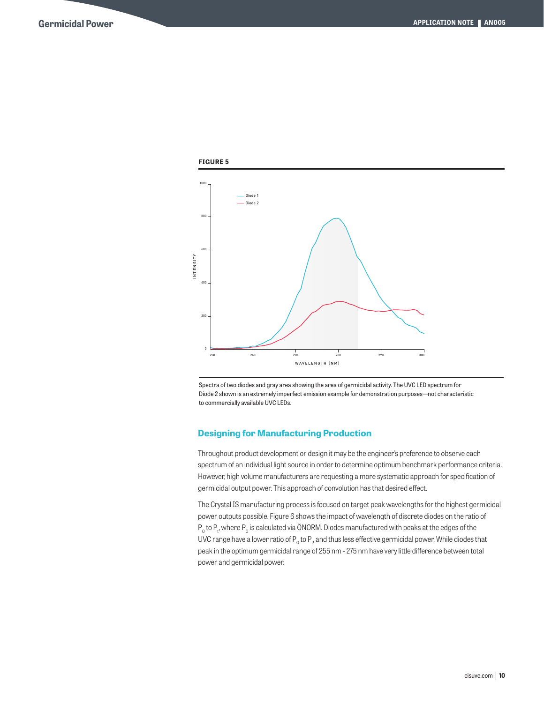

Spectra of two diodes and gray area showing the area of germicidal activity. The UVC LED spectrum for Diode 2 shown is an extremely imperfect emission example for demonstration purposes—not characteristic to commercially available UVC LEDs.

#### **Designing for Manufacturing Production**

Throughout product development or design it may be the engineer's preference to observe each spectrum of an individual light source in order to determine optimum benchmark performance criteria. However, high volume manufacturers are requesting a more systematic approach for specification of germicidal output power. This approach of convolution has that desired effect.

The Crystal IS manufacturing process is focused on target peak wavelengths for the highest germicidal power outputs possible. Figure 6 shows the impact of wavelength of discrete diodes on the ratio of  ${\sf P}_{{}_0}$  to  ${\sf P}_t$  where  ${\sf P}_{{}_0}$  is calculated via ÖNORM. Diodes manufactured with peaks at the edges of the UVC range have a lower ratio of  ${\sf P}_{{}_0}$  to  ${\sf P}_t$ , and thus less effective germicidal power. While diodes that peak in the optimum germicidal range of 255 nm - 275 nm have very little difference between total power and germicidal power.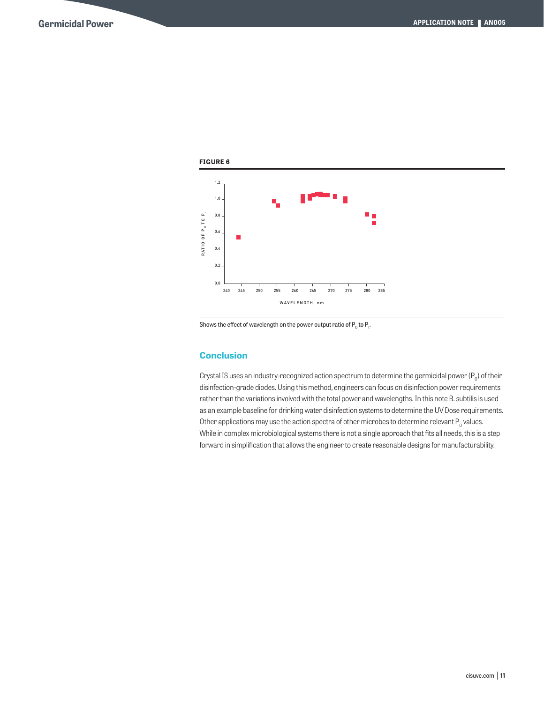

Shows the effect of wavelength on the power output ratio of  $\mathsf{P}_\text{o}$  to  $\mathsf{P}_\text{t}$ .

#### **Conclusion**

Crystal IS uses an industry-recognized action spectrum to determine the germicidal power ( $P_0$ ) of their disinfection-grade diodes. Using this method, engineers can focus on disinfection power requirements rather than the variations involved with the total power and wavelengths. In this note B. subtilis is used as an example baseline for drinking water disinfection systems to determine the UV Dose requirements. Other applications may use the action spectra of other microbes to determine relevant  $P_0$  values. While in complex microbiological systems there is not a single approach that fits all needs, this is a step forward in simplification that allows the engineer to create reasonable designs for manufacturability.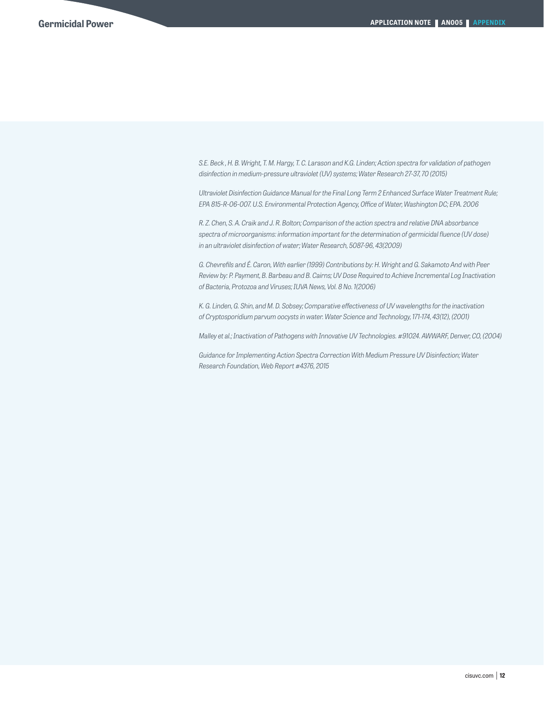*S.E. Beck , H. B. Wright, T. M. Hargy, T. C. Larason and K.G. Linden; Action spectra for validation of pathogen disinfection in medium-pressure ultraviolet (UV) systems; Water Research 27-37, 70 (2015)*

*Ultraviolet Disinfection Guidance Manual for the Final Long Term 2 Enhanced Surface Water Treatment Rule; EPA 815-R-06-007. U.S. Environmental Protection Agency, Office of Water, Washington DC; EPA. 2006*

*R. Z. Chen, S. A. Craik and J. R. Bolton; Comparison of the action spectra and relative DNA absorbance spectra of microorganisms: information important for the determination of germicidal fluence (UV dose) in an ultraviolet disinfection of water; Water Research, 5087-96, 43(2009)*

*G. Chevrefils and É. Caron, With earlier (1999) Contributions by: H. Wright and G. Sakamoto And with Peer Review by: P. Payment, B. Barbeau and B. Cairns; UV Dose Required to Achieve Incremental Log Inactivation of Bacteria, Protozoa and Viruses; IUVA News, Vol. 8 No. 1(2006)*

*K. G. Linden, G. Shin, and M. D. Sobsey; Comparative effectiveness of UV wavelengths for the inactivation of Cryptosporidium parvum oocysts in water. Water Science and Technology, 171-174, 43(12), (2001)*

*Malley et al.; Inactivation of Pathogens with Innovative UV Technologies. #91024. AWWARF, Denver, CO, (2004)*

*Guidance for Implementing Action Spectra Correction With Medium Pressure UV Disinfection; Water Research Foundation, Web Report #4376, 2015*